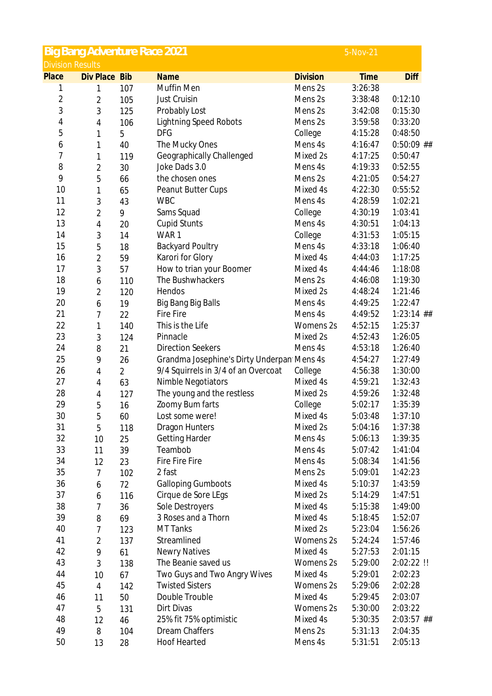|                         | <b>Big Bang Adventure Race 2021</b> |                |                                            |                 | 5-Nov-21    |                    |
|-------------------------|-------------------------------------|----------------|--------------------------------------------|-----------------|-------------|--------------------|
| <b>Division Results</b> |                                     |                |                                            |                 |             |                    |
| Place                   | Div Place                           | <b>Bib</b>     | <b>Name</b>                                | <b>Division</b> | <b>Time</b> | <b>Diff</b>        |
| 1                       | 1                                   | 107            | Muffin Men                                 | Mens 2s         | 3:26:38     |                    |
| $\overline{c}$          | $\overline{2}$                      | 105            | Just Cruisin                               | Mens 2s         | 3:38:48     | 0:12:10            |
| 3                       | 3                                   | 125            | Probably Lost                              | Mens 2s         | 3:42:08     | 0:15:30            |
| 4                       | 4                                   | 106            | <b>Lightning Speed Robots</b>              | Mens 2s         | 3:59:58     | 0:33:20            |
| 5                       | 1                                   | 5              | <b>DFG</b>                                 | College         | 4:15:28     | 0:48:50            |
| 6                       | 1                                   | 40             | The Mucky Ones                             | Mens 4s         | 4:16:47     | $0:50:09$ ##       |
| 7                       | 1                                   | 119            | Geographically Challenged                  | Mixed 2s        | 4:17:25     | 0:50:47            |
| 8                       | $\sqrt{2}$                          | 30             | Joke Dads 3.0                              | Mens 4s         | 4:19:33     | 0:52:55            |
| 9                       | 5                                   | 66             | the chosen ones                            | Mens 2s         | 4:21:05     | 0:54:27            |
| 10                      | 1                                   | 65             | Peanut Butter Cups                         | Mixed 4s        | 4:22:30     | 0:55:52            |
| 11                      | 3                                   | 43             | <b>WBC</b>                                 | Mens 4s         | 4:28:59     | 1:02:21            |
| 12                      | $\overline{2}$                      | 9              | Sams Squad                                 | College         | 4:30:19     | 1:03:41            |
| 13                      | 4                                   | 20             | <b>Cupid Stunts</b>                        | Mens 4s         | 4:30:51     | 1:04:13            |
| 14                      | 3                                   | 14             | WAR1                                       | College         | 4:31:53     | 1:05:15            |
| 15                      | 5                                   | 18             | <b>Backyard Poultry</b>                    | Mens 4s         | 4:33:18     | 1:06:40            |
| 16                      | $\overline{c}$                      | 59             | Karori for Glory                           | Mixed 4s        | 4:44:03     | 1:17:25            |
| 17                      | 3                                   | 57             | How to trian your Boomer                   | Mixed 4s        | 4:44:46     | 1:18:08            |
| 18                      | 6                                   | 110            | The Bushwhackers                           | Mens 2s         | 4:46:08     | 1:19:30            |
| 19                      | 2                                   | 120            | Hendos                                     | Mixed 2s        | 4:48:24     | 1:21:46            |
| 20                      | 6                                   | 19             | Big Bang Big Balls                         | Mens 4s         | 4:49:25     | 1:22:47            |
| 21                      | 7                                   | 22             | <b>Fire Fire</b>                           | Mens 4s         | 4:49:52     | $1:23:14$ ##       |
| 22                      | 1                                   | 140            | This is the Life                           | Womens 2s       | 4:52:15     | 1:25:37            |
| 23                      | 3                                   | 124            | Pinnacle                                   | Mixed 2s        | 4:52:43     | 1:26:05            |
| 24                      | 8                                   | 21             | <b>Direction Seekers</b>                   | Mens 4s         | 4:53:18     | 1:26:40            |
| 25                      | 9                                   | 26             | Grandma Josephine's Dirty Underpan Mens 4s |                 | 4:54:27     | 1:27:49            |
| 26                      |                                     | $\overline{2}$ | 9/4 Squirrels in 3/4 of an Overcoat        | College         | 4:56:38     | 1:30:00            |
| 27                      | 4                                   | 63             | <b>Nimble Negotiators</b>                  | Mixed 4s        | 4:59:21     | 1:32:43            |
| 28                      | 4                                   |                | The young and the restless                 | Mixed 2s        | 4:59:26     | 1:32:48            |
| 29                      | 4                                   | 127            |                                            | College         | 5:02:17     | 1:35:39            |
| 30                      | 5                                   | 16             | Zoomy Bum farts                            |                 |             |                    |
|                         | 5                                   | 60             | Lost some were!                            | Mixed 4s        | 5:03:48     | 1:37:10<br>1:37:38 |
| 31<br>32                | 5                                   | 118            | <b>Dragon Hunters</b>                      | Mixed 2s        | 5:04:16     |                    |
|                         | 10                                  | 25             | <b>Getting Harder</b>                      | Mens 4s         | 5:06:13     | 1:39:35            |
| 33                      | 11                                  | 39             | Teambob                                    | Mens 4s         | 5:07:42     | 1:41:04            |
| 34                      | 12                                  | 23             | Fire Fire Fire                             | Mens 4s         | 5:08:34     | 1:41:56            |
| 35                      | 7                                   | 102            | 2 fast                                     | Mens 2s         | 5:09:01     | 1:42:23            |
| 36                      | 6                                   | 72             | <b>Galloping Gumboots</b>                  | Mixed 4s        | 5:10:37     | 1:43:59            |
| 37                      | 6                                   | 116            | Cirque de Sore LEgs                        | Mixed 2s        | 5:14:29     | 1:47:51            |
| 38                      | 7                                   | 36             | Sole Destroyers                            | Mixed 4s        | 5:15:38     | 1:49:00            |
| 39                      | 8                                   | 69             | 3 Roses and a Thorn                        | Mixed 4s        | 5:18:45     | 1:52:07            |
| 40                      | 7                                   | 123            | <b>MT Tanks</b>                            | Mixed 2s        | 5:23:04     | 1:56:26            |
| 41                      | $\overline{2}$                      | 137            | Streamlined                                | Womens 2s       | 5:24:24     | 1:57:46            |
| 42                      | 9                                   | 61             | <b>Newry Natives</b>                       | Mixed 4s        | 5:27:53     | 2:01:15            |
| 43                      | 3                                   | 138            | The Beanie saved us                        | Womens 2s       | 5:29:00     | 2:02:22 !!         |
| 44                      | 10                                  | 67             | Two Guys and Two Angry Wives               | Mixed 4s        | 5:29:01     | 2:02:23            |
| 45                      | 4                                   | 142            | <b>Twisted Sisters</b>                     | Womens 2s       | 5:29:06     | 2:02:28            |
| 46                      | 11                                  | 50             | Double Trouble                             | Mixed 4s        | 5:29:45     | 2:03:07            |
| 47                      | 5                                   | 131            | Dirt Divas                                 | Womens 2s       | 5:30:00     | 2:03:22            |
| 48                      | 12                                  | 46             | 25% fit 75% optimistic                     | Mixed 4s        | 5:30:35     | $2:03:57$ ##       |
| 49                      | 8                                   | 104            | Dream Chaffers                             | Mens 2s         | 5:31:13     | 2:04:35            |
| 50                      | 13                                  | 28             | <b>Hoof Hearted</b>                        | Mens 4s         | 5:31:51     | 2:05:13            |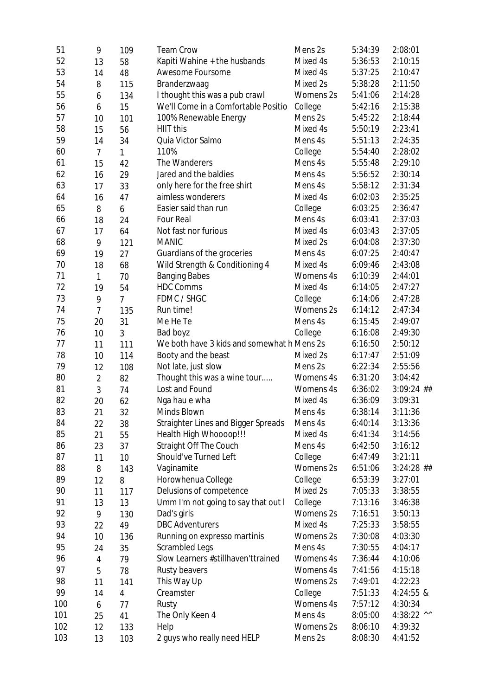| 51  | 9              | 109            | <b>Team Crow</b>                           | Mens 2s   | 5:34:39 | 2:08:01      |
|-----|----------------|----------------|--------------------------------------------|-----------|---------|--------------|
| 52  | 13             | 58             | Kapiti Wahine + the husbands               | Mixed 4s  | 5:36:53 | 2:10:15      |
| 53  | 14             | 48             | Awesome Foursome                           | Mixed 4s  | 5:37:25 | 2:10:47      |
| 54  | 8              | 115            | Branderzwaag                               | Mixed 2s  | 5:38:28 | 2:11:50      |
| 55  | 6              | 134            | I thought this was a pub crawl             | Womens 2s | 5:41:06 | 2:14:28      |
| 56  | 6              | 15             | We'll Come in a Comfortable Positio        | College   | 5:42:16 | 2:15:38      |
| 57  | 10             | 101            | 100% Renewable Energy                      | Mens 2s   | 5:45:22 | 2:18:44      |
| 58  | 15             | 56             | HIIT this                                  | Mixed 4s  | 5:50:19 | 2:23:41      |
| 59  | 14             | 34             | Quia Victor Salmo                          | Mens 4s   | 5:51:13 | 2:24:35      |
| 60  | $\overline{7}$ | $\mathbf{1}$   | 110%                                       | College   | 5:54:40 | 2:28:02      |
| 61  | 15             | 42             | The Wanderers                              | Mens 4s   | 5:55:48 | 2:29:10      |
| 62  | 16             | 29             | Jared and the baldies                      | Mens 4s   | 5:56:52 | 2:30:14      |
| 63  | 17             | 33             | only here for the free shirt               | Mens 4s   | 5:58:12 | 2:31:34      |
| 64  | 16             | 47             | aimless wonderers                          | Mixed 4s  | 6:02:03 | 2:35:25      |
| 65  | 8              | 6              | Easier said than run                       | College   | 6:03:25 | 2:36:47      |
| 66  | 18             | 24             | Four Real                                  | Mens 4s   | 6:03:41 | 2:37:03      |
| 67  | 17             | 64             | Not fast nor furious                       | Mixed 4s  | 6:03:43 | 2:37:05      |
| 68  | 9              | 121            | <b>MANIC</b>                               | Mixed 2s  | 6:04:08 | 2:37:30      |
| 69  | 19             | 27             | Guardians of the groceries                 | Mens 4s   | 6:07:25 | 2:40:47      |
| 70  | 18             | 68             | Wild Strength & Conditioning 4             | Mixed 4s  | 6:09:46 | 2:43:08      |
| 71  | $\mathbf{1}$   | 70             | <b>Banging Babes</b>                       | Womens 4s | 6:10:39 | 2:44:01      |
| 72  | 19             | 54             | <b>HDC Comms</b>                           | Mixed 4s  | 6:14:05 | 2:47:27      |
| 73  | 9              | $\overline{7}$ | FDMC / SHGC                                | College   | 6:14:06 | 2:47:28      |
| 74  | $\overline{7}$ | 135            | Run time!                                  | Womens 2s | 6:14:12 | 2:47:34      |
| 75  | 20             | 31             | Me He Te                                   | Mens 4s   | 6:15:45 | 2:49:07      |
| 76  | 10             | 3              | Bad boyz                                   | College   | 6:16:08 | 2:49:30      |
| 77  | 11             | 111            | We both have 3 kids and somewhat h Mens 2s |           | 6:16:50 | 2:50:12      |
| 78  | 10             | 114            | Booty and the beast                        | Mixed 2s  | 6:17:47 | 2:51:09      |
| 79  | 12             | 108            | Not late, just slow                        | Mens 2s   | 6:22:34 | 2:55:56      |
| 80  | $\overline{2}$ | 82             | Thought this was a wine tour               | Womens 4s | 6:31:20 | 3:04:42      |
| 81  | 3              | 74             | Lost and Found                             | Womens 4s | 6:36:02 | $3:09:24$ ## |
| 82  |                |                | Nga hau e wha                              | Mixed 4s  | 6:36:09 | 3:09:31      |
| 83  | 20<br>21       | 62             | Minds Blown                                | Mens 4s   | 6:38:14 | 3:11:36      |
| 84  |                | 32             | <b>Straighter Lines and Bigger Spreads</b> | Mens 4s   | 6:40:14 | 3:13:36      |
|     | 22             | 38             | Health High Whoooop!!!                     | Mixed 4s  |         |              |
| 85  | 21             | 55             |                                            | Mens 4s   | 6:41:34 | 3:14:56      |
| 86  | 23             | 37             | Straight Off The Couch                     |           | 6:42:50 | 3:16:12      |
| 87  | 11             | 10             | Should've Turned Left                      | College   | 6:47:49 | 3:21:11      |
| 88  | 8              | 143            | Vaginamite                                 | Womens 2s | 6:51:06 | $3:24:28$ ## |
| 89  | 12             | 8              | Horowhenua College                         | College   | 6:53:39 | 3:27:01      |
| 90  | 11             | 117            | Delusions of competence                    | Mixed 2s  | 7:05:33 | 3:38:55      |
| 91  | 13             | 13             | Umm I'm not going to say that out I        | College   | 7:13:16 | 3:46:38      |
| 92  | 9              | 130            | Dad's girls                                | Womens 2s | 7:16:51 | 3:50:13      |
| 93  | 22             | 49             | <b>DBC Adventurers</b>                     | Mixed 4s  | 7:25:33 | 3:58:55      |
| 94  | 10             | 136            | Running on expresso martinis               | Womens 2s | 7:30:08 | 4:03:30      |
| 95  | 24             | 35             | Scrambled Legs                             | Mens 4s   | 7:30:55 | 4:04:17      |
| 96  | $\overline{4}$ | 79             | Slow Learners #stillhaven'ttrained         | Womens 4s | 7:36:44 | 4:10:06      |
| 97  | 5              | 78             | Rusty beavers                              | Womens 4s | 7:41:56 | 4:15:18      |
| 98  | 11             | 141            | This Way Up                                | Womens 2s | 7:49:01 | 4:22:23      |
| 99  | 14             | 4              | Creamster                                  | College   | 7:51:33 | 4:24:55 &    |
| 100 | 6              | 77             | Rusty                                      | Womens 4s | 7:57:12 | 4:30:34      |
| 101 | 25             | 41             | The Only Keen 4                            | Mens 4s   | 8:05:00 | 4:38:22 ^^   |
| 102 | 12             | 133            | Help                                       | Womens 2s | 8:06:10 | 4:39:32      |
| 103 | 13             | 103            | 2 guys who really need HELP                | Mens 2s   | 8:08:30 | 4:41:52      |